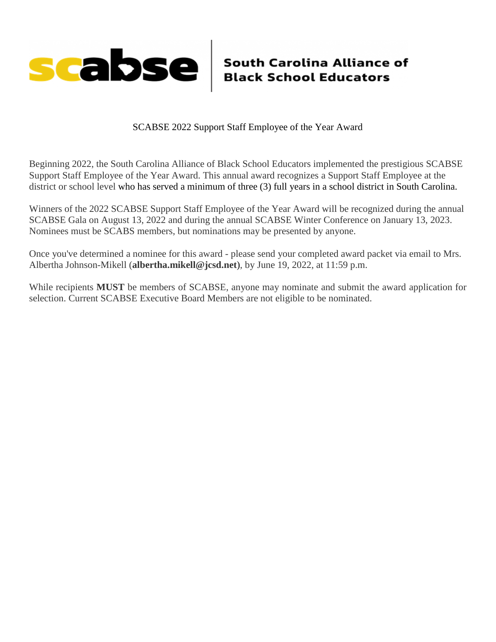

SCABSE 2022 Support Staff Employee of the Year Award

Beginning 2022, the South Carolina Alliance of Black School Educators implemented the prestigious SCABSE Support Staff Employee of the Year Award. This annual award recognizes a Support Staff Employee at the district or school level who has served a minimum of three (3) full years in a school district in South Carolina.

Winners of the 2022 SCABSE Support Staff Employee of the Year Award will be recognized during the annual SCABSE Gala on August 13, 2022 and during the annual SCABSE Winter Conference on January 13, 2023. Nominees must be SCABS members, but nominations may be presented by anyone.

Once you've determined a nominee for this award - please send your completed award packet via email to Mrs. Albertha Johnson-Mikell (**albertha.mikell@jcsd.net**), by June 19, 2022, at 11:59 p.m.

While recipients **MUST** be members of SCABSE, anyone may nominate and submit the award application for selection. Current SCABSE Executive Board Members are not eligible to be nominated.